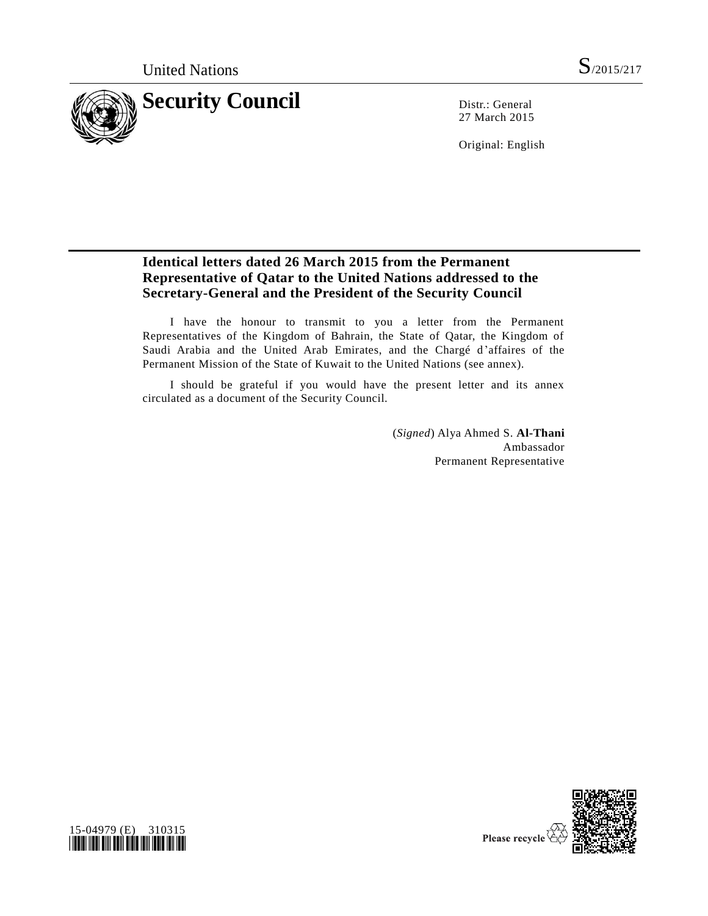

27 March 2015

Original: English

# **Identical letters dated 26 March 2015 from the Permanent Representative of Qatar to the United Nations addressed to the Secretary-General and the President of the Security Council**

I have the honour to transmit to you a letter from the Permanent Representatives of the Kingdom of Bahrain, the State of Qatar, the Kingdom of Saudi Arabia and the United Arab Emirates, and the Chargé d'affaires of the Permanent Mission of the State of Kuwait to the United Nations (see annex).

I should be grateful if you would have the present letter and its annex circulated as a document of the Security Council.

> (*Signed*) Alya Ahmed S. **Al-Thani** Ambassador Permanent Representative



Please recycle  $\overline{\mathbf{\langle}}$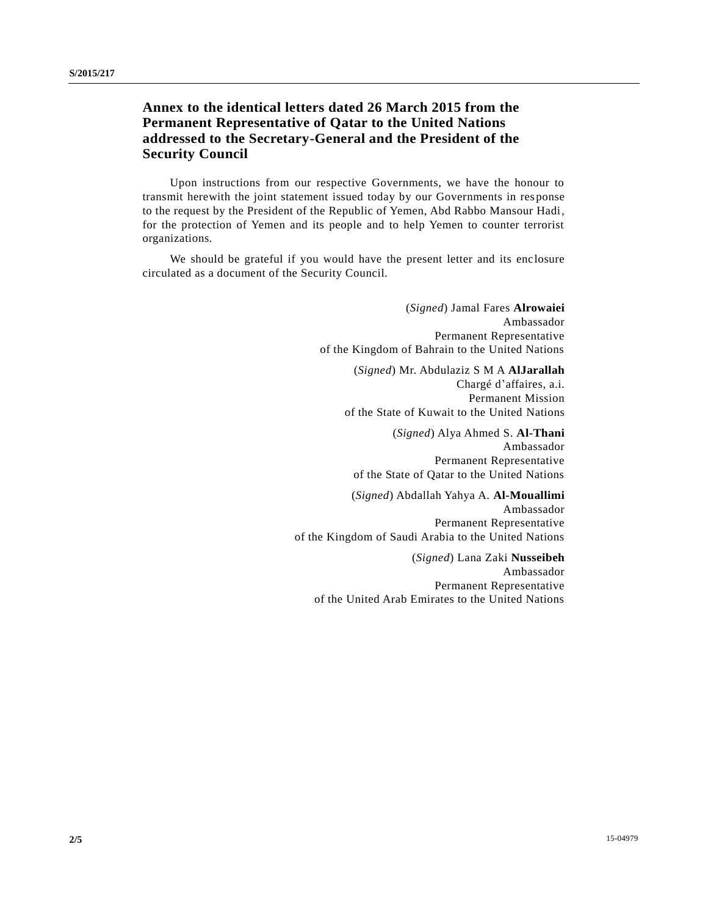## **Annex to the identical letters dated 26 March 2015 from the Permanent Representative of Qatar to the United Nations addressed to the Secretary-General and the President of the Security Council**

Upon instructions from our respective Governments, we have the honour to transmit herewith the joint statement issued today by our Governments in res ponse to the request by the President of the Republic of Yemen, Abd Rabbo Mansour Hadi, for the protection of Yemen and its people and to help Yemen to counter terrorist organizations.

We should be grateful if you would have the present letter and its enc losure circulated as a document of the Security Council.

> (*Signed*) Jamal Fares **Alrowaiei** Ambassador Permanent Representative of the Kingdom of Bahrain to the United Nations

(*Signed*) Mr. Abdulaziz S M A **AlJarallah** Chargé d'affaires, a.i. Permanent Mission of the State of Kuwait to the United Nations

(*Signed*) Alya Ahmed S. **Al-Thani** Ambassador Permanent Representative of the State of Qatar to the United Nations

(*Signed*) Abdallah Yahya A. **Al-Mouallimi** Ambassador Permanent Representative of the Kingdom of Saudi Arabia to the United Nations

(*Signed*) Lana Zaki **Nusseibeh** Ambassador Permanent Representative of the United Arab Emirates to the United Nations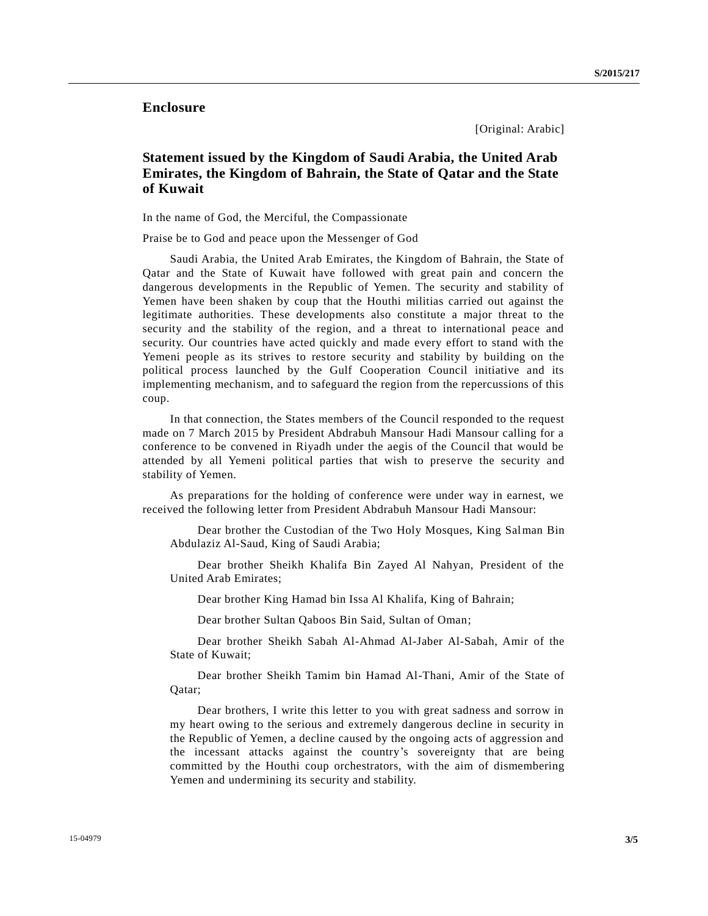### **Enclosure**

[Original: Arabic]

## **Statement issued by the Kingdom of Saudi Arabia, the United Arab Emirates, the Kingdom of Bahrain, the State of Qatar and the State of Kuwait**

In the name of God, the Merciful, the Compassionate

Praise be to God and peace upon the Messenger of God

Saudi Arabia, the United Arab Emirates, the Kingdom of Bahrain, the State of Qatar and the State of Kuwait have followed with great pain and concern the dangerous developments in the Republic of Yemen. The security and stability of Yemen have been shaken by coup that the Houthi militias carried out against the legitimate authorities. These developments also constitute a major threat to the security and the stability of the region, and a threat to international peace and security. Our countries have acted quickly and made every effort to stand with the Yemeni people as its strives to restore security and stability by building on the political process launched by the Gulf Cooperation Council initiative and its implementing mechanism, and to safeguard the region from the repercussions of this coup.

In that connection, the States members of the Council responded to the request made on 7 March 2015 by President Abdrabuh Mansour Hadi Mansour calling for a conference to be convened in Riyadh under the aegis of the Council that would be attended by all Yemeni political parties that wish to preserve the security and stability of Yemen.

As preparations for the holding of conference were under way in earnest, we received the following letter from President Abdrabuh Mansour Hadi Mansour:

Dear brother the Custodian of the Two Holy Mosques, King Salman Bin Abdulaziz Al-Saud, King of Saudi Arabia;

Dear brother Sheikh Khalifa Bin Zayed Al Nahyan, President of the United Arab Emirates;

Dear brother King Hamad bin Issa Al Khalifa, King of Bahrain;

Dear brother Sultan Qaboos Bin Said, Sultan of Oman;

Dear brother Sheikh Sabah Al-Ahmad Al-Jaber Al-Sabah, Amir of the State of Kuwait;

Dear brother Sheikh Tamim bin Hamad Al-Thani, Amir of the State of Qatar;

Dear brothers, I write this letter to you with great sadness and sorrow in my heart owing to the serious and extremely dangerous decline in security in the Republic of Yemen, a decline caused by the ongoing acts of aggression and the incessant attacks against the country's sovereignty that are being committed by the Houthi coup orchestrators, with the aim of dismembering Yemen and undermining its security and stability.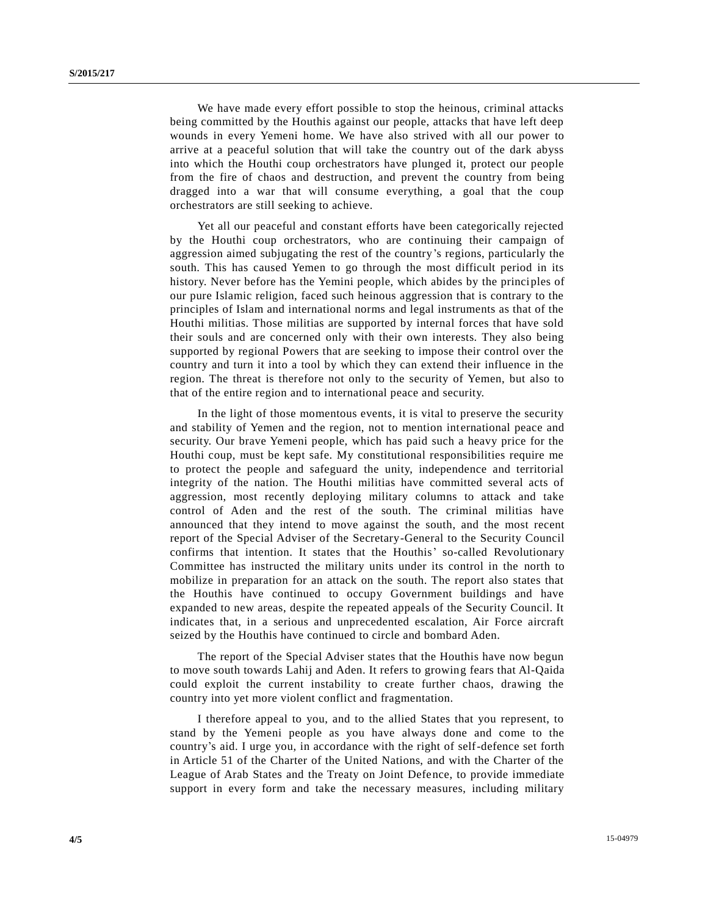We have made every effort possible to stop the heinous, criminal attacks being committed by the Houthis against our people, attacks that have left deep wounds in every Yemeni home. We have also strived with all our power to arrive at a peaceful solution that will take the country out of the dark abyss into which the Houthi coup orchestrators have plunged it, protect our people from the fire of chaos and destruction, and prevent the country from being dragged into a war that will consume everything, a goal that the coup orchestrators are still seeking to achieve.

Yet all our peaceful and constant efforts have been categorically rejected by the Houthi coup orchestrators, who are continuing their campaign of aggression aimed subjugating the rest of the country's regions, particularly the south. This has caused Yemen to go through the most difficult period in its history. Never before has the Yemini people, which abides by the principles of our pure Islamic religion, faced such heinous aggression that is contrary to the principles of Islam and international norms and legal instruments as that of the Houthi militias. Those militias are supported by internal forces that have sold their souls and are concerned only with their own interests. They also being supported by regional Powers that are seeking to impose their control over the country and turn it into a tool by which they can extend their influence in the region. The threat is therefore not only to the security of Yemen, but also to that of the entire region and to international peace and security.

In the light of those momentous events, it is vital to preserve the security and stability of Yemen and the region, not to mention international peace and security. Our brave Yemeni people, which has paid such a heavy price for the Houthi coup, must be kept safe. My constitutional responsibilities require me to protect the people and safeguard the unity, independence and territorial integrity of the nation. The Houthi militias have committed several acts of aggression, most recently deploying military columns to attack and take control of Aden and the rest of the south. The criminal militias have announced that they intend to move against the south, and the most recent report of the Special Adviser of the Secretary-General to the Security Council confirms that intention. It states that the Houthis' so-called Revolutionary Committee has instructed the military units under its control in the north to mobilize in preparation for an attack on the south. The report also states that the Houthis have continued to occupy Government buildings and have expanded to new areas, despite the repeated appeals of the Security Council. It indicates that, in a serious and unprecedented escalation, Air Force aircraft seized by the Houthis have continued to circle and bombard Aden.

The report of the Special Adviser states that the Houthis have now begun to move south towards Lahij and Aden. It refers to growing fears that Al-Qaida could exploit the current instability to create further chaos, drawing the country into yet more violent conflict and fragmentation.

I therefore appeal to you, and to the allied States that you represent, to stand by the Yemeni people as you have always done and come to the country's aid. I urge you, in accordance with the right of self-defence set forth in Article 51 of the Charter of the United Nations, and with the Charter of the League of Arab States and the Treaty on Joint Defence, to provide immediate support in every form and take the necessary measures, including military